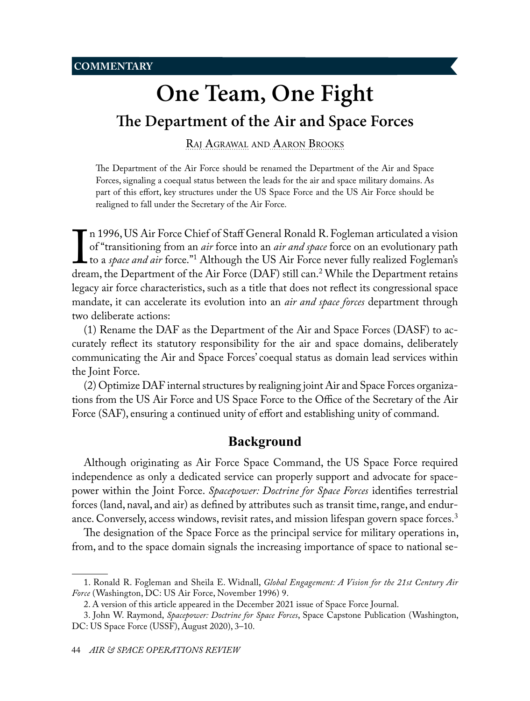# <span id="page-0-1"></span>**The Department of the Air and Space Forces**

<span id="page-0-0"></span>Raj [Agrawal](#page-12-0) and [Aaron Brooks](#page-12-0)

The Department of the Air Force should be renamed the Department of the Air and Space Forces, signaling a coequal status between the leads for the air and space military domains. As part of this effort, key structures under the US Space Force and the US Air Force should be realigned to fall under the Secretary of the Air Force.

 $\prod_{\text{drea}}$ n 1996, US Air Force Chief of Staff General Ronald R. Fogleman articulated a vision of "transitioning from an *air* force into an *air and space* force on an evolutionary path to a *space and air* force."1 Although the US Air Force never fully realized Fogleman's dream, the Department of the Air Force (DAF) still can.2 While the Department retains legacy air force characteristics, such as a title that does not reflect its congressional space mandate, it can accelerate its evolution into an *air and space forces* department through two deliberate actions:

(1) Rename the DAF as the Department of the Air and Space Forces (DASF) to accurately reflect its statutory responsibility for the air and space domains, deliberately communicating the Air and Space Forces' coequal status as domain lead services within the Joint Force.

(2) Optimize DAF internal structures by realigning joint Air and Space Forces organizations from the US Air Force and US Space Force to the Office of the Secretary of the Air Force (SAF), ensuring a continued unity of effort and establishing unity of command.

# **Background**

Although originating as Air Force Space Command, the US Space Force required independence as only a dedicated service can properly support and advocate for spacepower within the Joint Force. *Spacepower: Doctrine for Space Forces* identifies terrestrial forces (land, naval, and air) as defined by attributes such as transit time, range, and endurance. Conversely, access windows, revisit rates, and mission lifespan govern space forces.<sup>3</sup>

The designation of the Space Force as the principal service for military operations in, from, and to the space domain signals the increasing importance of space to national se-

<sup>1.</sup> Ronald R. Fogleman and Sheila E. Widnall, *Global Engagement: A Vision for the 21st Century Air Force* (Washington, DC: US Air Force, November 1996) 9.

<sup>2.</sup> A version of this article appeared in the December 2021 issue of Space Force Journal.

<sup>3.</sup> John W. Raymond, *Spacepower: Doctrine for Space Forces*, Space Capstone Publication (Washington, DC: US Space Force (USSF), August 2020), 3–10.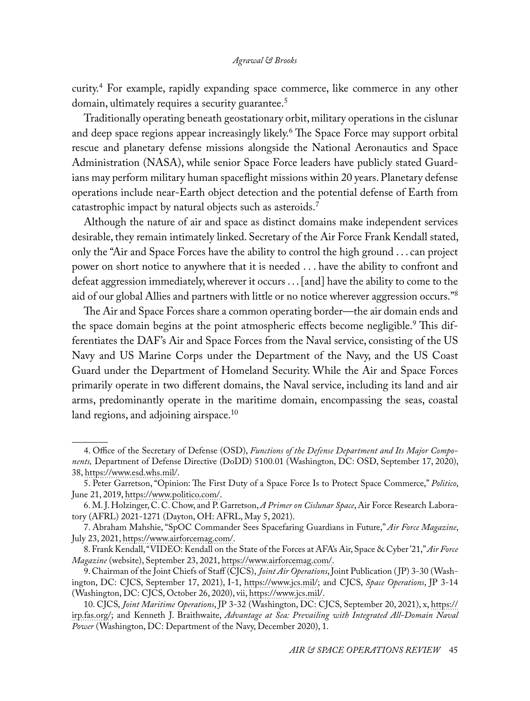curity.4 For example, rapidly expanding space commerce, like commerce in any other domain, ultimately requires a security guarantee.<sup>5</sup>

Traditionally operating beneath geostationary orbit, military operations in the cislunar and deep space regions appear increasingly likely.6 The Space Force may support orbital rescue and planetary defense missions alongside the National Aeronautics and Space Administration (NASA), while senior Space Force leaders have publicly stated Guardians may perform military human spaceflight missions within 20 years. Planetary defense operations include near-Earth object detection and the potential defense of Earth from catastrophic impact by natural objects such as asteroids.<sup>7</sup>

Although the nature of air and space as distinct domains make independent services desirable, they remain intimately linked. Secretary of the Air Force Frank Kendall stated, only the "Air and Space Forces have the ability to control the high ground . . . can project power on short notice to anywhere that it is needed . . . have the ability to confront and defeat aggression immediately, wherever it occurs . . . [and] have the ability to come to the aid of our global Allies and partners with little or no notice wherever aggression occurs."<sup>8</sup>

The Air and Space Forces share a common operating border—the air domain ends and the space domain begins at the point atmospheric effects become negligible.<sup>9</sup> This differentiates the DAF's Air and Space Forces from the Naval service, consisting of the US Navy and US Marine Corps under the Department of the Navy, and the US Coast Guard under the Department of Homeland Security. While the Air and Space Forces primarily operate in two different domains, the Naval service, including its land and air arms, predominantly operate in the maritime domain, encompassing the seas, coastal land regions, and adjoining airspace.<sup>10</sup>

<sup>4.</sup> Office of the Secretary of Defense (OSD), *Functions of the Defense Department and Its Major Components,* Department of Defense Directive (DoDD) 5100.01 (Washington, DC: OSD, September 17, 2020), 38, [https://www.esd.whs.mil/.](https://www.esd.whs.mil/Portals/54/Documents/DD/issuances/dodd/510001p.pdf)

<sup>5.</sup> Peter Garretson, "Opinion: The First Duty of a Space Force Is to Protect Space Commerce," *Politico*, June 21, 2019, [https://www.politico.com/](https://www.politico.com/story/2019/06/21/opinion-space-force-commerce-1374229).

<sup>6.</sup> M. J. Holzinger, C. C. Chow, and P. Garretson, *A Primer on Cislunar Space*, Air Force Research Laboratory (AFRL) 2021-1271 (Dayton, OH: AFRL, May 5, 2021).

<sup>7.</sup> Abraham Mahshie, "SpOC Commander Sees Spacefaring Guardians in Future," *Air Force Magazine*, July 23, 2021, [https://www.airforcemag.com/.](https://www.airforcemag.com/space-force-commander-sees-spacefaring-guardians-in-future/)

<sup>8.</sup> Frank Kendall, "VIDEO: Kendall on the State of the Forces at AFA's Air, Space & Cyber '21," *Air Force Magazine* (website), September 23, 2021, [https://www.airforcemag.com/.](https://www.airforcemag.com/video-kendall-on-the-state-of-the-forces-at-afas-air-space-cyber-21/)

<sup>9.</sup> Chairman of the Joint Chiefs of Staff (CJCS), *Joint Air Operations*, Joint Publication ( JP) 3-30 (Washington, DC: CJCS, September 17, 2021), I-1, [https://www.jcs.mil/](https://www.jcs.mil/Portals/36/Documents/Doctrine/pubs/jp3_30.pdf); and CJCS, *Space Operations*, JP 3-14 (Washington, DC: CJCS, October 26, 2020), vii, [https://www.jcs.mil/](https://www.jcs.mil/Portals/36/Documents/Doctrine/pubs/jp3_14ch1.pdf?ver=qmkgYPyKBvsIZyrnswSMCg%3D%3D).

<sup>10.</sup> CJCS, *Joint Maritime Operations*, JP 3-32 (Washington, DC: CJCS, September 20, 2021), x, [https://](https://irp.fas.org/doddir/dod/jp3_32.pdf) [irp.fas.org/](https://irp.fas.org/doddir/dod/jp3_32.pdf); and Kenneth J. Braithwaite, *Advantage at Sea: Prevailing with Integrated All-Domain Naval Power* (Washington, DC: Department of the Navy, December 2020), 1.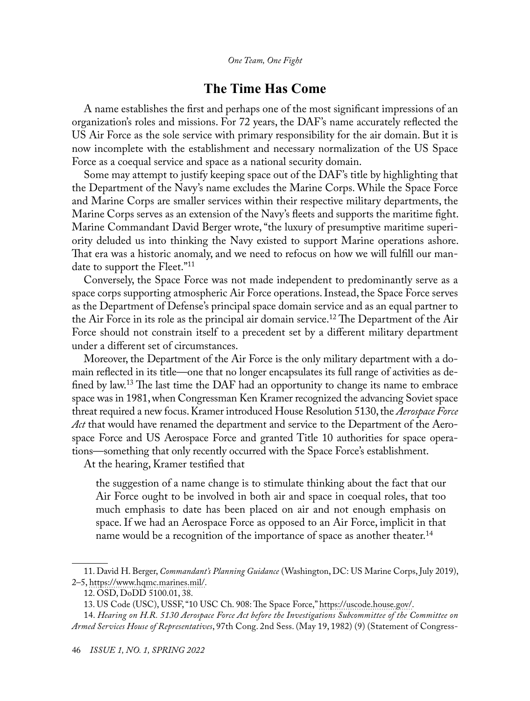## **The Time Has Come**

A name establishes the first and perhaps one of the most significant impressions of an organization's roles and missions. For 72 years, the DAF's name accurately reflected the US Air Force as the sole service with primary responsibility for the air domain. But it is now incomplete with the establishment and necessary normalization of the US Space Force as a coequal service and space as a national security domain.

Some may attempt to justify keeping space out of the DAF's title by highlighting that the Department of the Navy's name excludes the Marine Corps. While the Space Force and Marine Corps are smaller services within their respective military departments, the Marine Corps serves as an extension of the Navy's fleets and supports the maritime fight. Marine Commandant David Berger wrote, "the luxury of presumptive maritime superiority deluded us into thinking the Navy existed to support Marine operations ashore. That era was a historic anomaly, and we need to refocus on how we will fulfill our mandate to support the Fleet."11

Conversely, the Space Force was not made independent to predominantly serve as a space corps supporting atmospheric Air Force operations. Instead, the Space Force serves as the Department of Defense's principal space domain service and as an equal partner to the Air Force in its role as the principal air domain service.<sup>12</sup> The Department of the Air Force should not constrain itself to a precedent set by a different military department under a different set of circumstances.

Moreover, the Department of the Air Force is the only military department with a domain reflected in its title—one that no longer encapsulates its full range of activities as defined by law.<sup>13</sup> The last time the DAF had an opportunity to change its name to embrace space was in 1981, when Congressman Ken Kramer recognized the advancing Soviet space threat required a new focus. Kramer introduced House Resolution 5130, the *Aerospace Force Act* that would have renamed the department and service to the Department of the Aerospace Force and US Aerospace Force and granted Title 10 authorities for space operations—something that only recently occurred with the Space Force's establishment.

At the hearing, Kramer testified that

the suggestion of a name change is to stimulate thinking about the fact that our Air Force ought to be involved in both air and space in coequal roles, that too much emphasis to date has been placed on air and not enough emphasis on space. If we had an Aerospace Force as opposed to an Air Force, implicit in that name would be a recognition of the importance of space as another theater.<sup>14</sup>

<sup>11.</sup> David H. Berger, *Commandant's Planning Guidance* (Washington, DC: US Marine Corps, July 2019), 2–5, [https://www.hqmc.marines.mil/](https://www.hqmc.marines.mil/Portals/142/Docs/%2038th%20Commandant%27s%20Planning%20Guidance_2019.pdf?ver=2019-07-16-200152-700).

<sup>12.</sup> OSD, DoDD 5100.01, 38.

<sup>13.</sup> US Code (USC), USSF, "10 USC Ch. 908: The Space Force," [https://uscode.house.gov/.](https://uscode.house.gov/view.xhtml?path=/prelim@title10/subtitleD/part1/chapter908&edition=prelim)

<sup>14.</sup> *Hearing on H.R. 5130 Aerospace Force Act before the Investigations Subcommittee of the Committee on Armed Services House of Representatives*, 97th Cong. 2nd Sess. (May 19, 1982) (9) (Statement of Congress-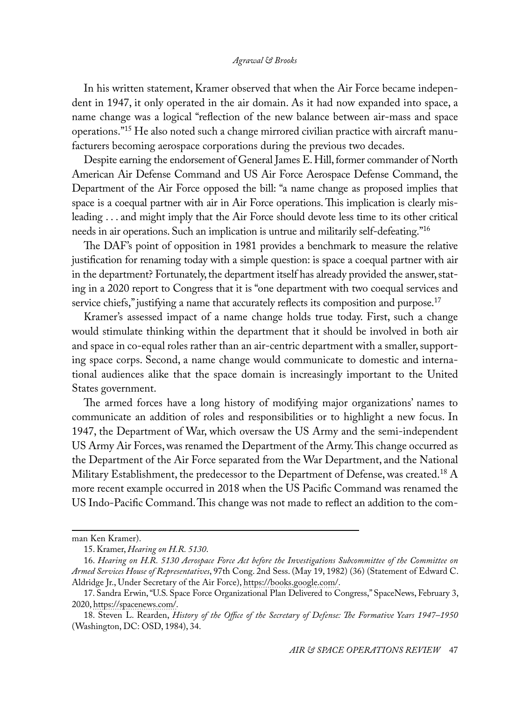In his written statement, Kramer observed that when the Air Force became independent in 1947, it only operated in the air domain. As it had now expanded into space, a name change was a logical "reflection of the new balance between air-mass and space operations."15 He also noted such a change mirrored civilian practice with aircraft manufacturers becoming aerospace corporations during the previous two decades.

Despite earning the endorsement of General James E. Hill, former commander of North American Air Defense Command and US Air Force Aerospace Defense Command, the Department of the Air Force opposed the bill: "a name change as proposed implies that space is a coequal partner with air in Air Force operations. This implication is clearly misleading . . . and might imply that the Air Force should devote less time to its other critical needs in air operations. Such an implication is untrue and militarily self-defeating."16

The DAF's point of opposition in 1981 provides a benchmark to measure the relative justification for renaming today with a simple question: is space a coequal partner with air in the department? Fortunately, the department itself has already provided the answer, stating in a 2020 report to Congress that it is "one department with two coequal services and service chiefs," justifying a name that accurately reflects its composition and purpose.<sup>17</sup>

Kramer's assessed impact of a name change holds true today. First, such a change would stimulate thinking within the department that it should be involved in both air and space in co-equal roles rather than an air-centric department with a smaller, supporting space corps. Second, a name change would communicate to domestic and international audiences alike that the space domain is increasingly important to the United States government.

The armed forces have a long history of modifying major organizations' names to communicate an addition of roles and responsibilities or to highlight a new focus. In 1947, the Department of War, which oversaw the US Army and the semi-independent US Army Air Forces, was renamed the Department of the Army. This change occurred as the Department of the Air Force separated from the War Department, and the National Military Establishment, the predecessor to the Department of Defense, was created.<sup>18</sup> A more recent example occurred in 2018 when the US Pacific Command was renamed the US Indo-Pacific Command. This change was not made to reflect an addition to the com-

man Ken Kramer).

<sup>15.</sup> Kramer, *Hearing on H.R. 5130*.

<sup>16.</sup> *Hearing on H.R. 5130 Aerospace Force Act before the Investigations Subcommittee of the Committee on Armed Services House of Representatives*, 97th Cong. 2nd Sess. (May 19, 1982) (36) (Statement of Edward C. Aldridge Jr., Under Secretary of the Air Force), https://books.google.com/.

<sup>17.</sup> Sandra Erwin, "U.S. Space Force Organizational Plan Delivered to Congress," SpaceNews, February 3, 2020, [https://spacenews.com/.](https://spacenews.com/u-s-space-force-organizational-plan-delivered-to-congress/)

<sup>18.</sup> Steven L. Rearden, *History of the Office of the Secretary of Defense: The Formative Years 1947–1950* (Washington, DC: OSD, 1984), 34.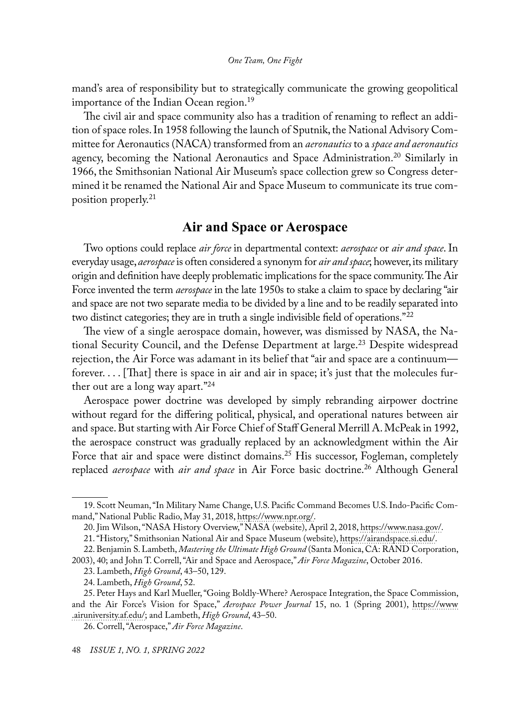mand's area of responsibility but to strategically communicate the growing geopolitical importance of the Indian Ocean region.<sup>19</sup>

The civil air and space community also has a tradition of renaming to reflect an addition of space roles. In 1958 following the launch of Sputnik, the National Advisory Committee for Aeronautics (NACA) transformed from an *aeronautics* to a *space and aeronautics*  agency, becoming the National Aeronautics and Space Administration.<sup>20</sup> Similarly in 1966, the Smithsonian National Air Museum's space collection grew so Congress determined it be renamed the National Air and Space Museum to communicate its true composition properly.21

## **Air and Space or Aerospace**

Two options could replace *air force* in departmental context: *aerospace* or *air and space*. In everyday usage, *aerospace* is often considered a synonym for *air and space*; however, its military origin and definition have deeply problematic implications for the space community. The Air Force invented the term *aerospace* in the late 1950s to stake a claim to space by declaring "air and space are not two separate media to be divided by a line and to be readily separated into two distinct categories; they are in truth a single indivisible field of operations."<sup>22</sup>

The view of a single aerospace domain, however, was dismissed by NASA, the National Security Council, and the Defense Department at large.<sup>23</sup> Despite widespread rejection, the Air Force was adamant in its belief that "air and space are a continuum forever. . . . [That] there is space in air and air in space; it's just that the molecules further out are a long way apart."<sup>24</sup>

Aerospace power doctrine was developed by simply rebranding airpower doctrine without regard for the differing political, physical, and operational natures between air and space. But starting with Air Force Chief of Staff General Merrill A. McPeak in 1992, the aerospace construct was gradually replaced by an acknowledgment within the Air Force that air and space were distinct domains.<sup>25</sup> His successor, Fogleman, completely replaced *aerospace* with *air and space* in Air Force basic doctrine.26 Although General

<sup>19.</sup> Scott Neuman, "In Military Name Change, U.S. Pacific Command Becomes U.S. Indo-Pacific Command," National Public Radio, May 31, 2018, [https://www.npr.org/](https://www.npr.org/sections/thetwo-way/2018/05/31/615722120/in-military-name-change-u-s-pacific-command-becomes-u-s-indo-pacific-command).

<sup>20.</sup> Jim Wilson, "NASA History Overview," NASA (website), April 2, 2018, [https://www.nasa.gov/](https://www.nasa.gov/content/nasa-history-overview).

<sup>21. &</sup>quot;History," Smithsonian National Air and Space Museum (website), [https://airandspace.si.edu/.](https://airandspace.si.edu/history-0)

<sup>22.</sup> Benjamin S. Lambeth, *Mastering the Ultimate High Ground* (Santa Monica, CA: RAND Corporation,

<sup>2003), 40;</sup> and John T. Correll, "Air and Space and Aerospace," *Air Force Magazine*, October 2016.

<sup>23.</sup> Lambeth, *High Ground*, 43–50, 129.

<sup>24.</sup> Lambeth, *High Ground*, 52.

<sup>25.</sup> Peter Hays and Karl Mueller, "Going Boldly-Where? Aerospace Integration, the Space Commission, and the Air Force's Vision for Space," *Aerospace Power Journal* 15, no. 1 (Spring 2001), [https://www](https://www.airuniversity.af.edu/Portals/10/ASPJ/journals/Volume-15_Issue-1-4/2001_Vol15_No1.pdf) [.airuniversity.af.edu/](https://www.airuniversity.af.edu/Portals/10/ASPJ/journals/Volume-15_Issue-1-4/2001_Vol15_No1.pdf); and Lambeth, *High Ground*, 43–50.

<sup>26.</sup> Correll, "Aerospace," *Air Force Magazine*.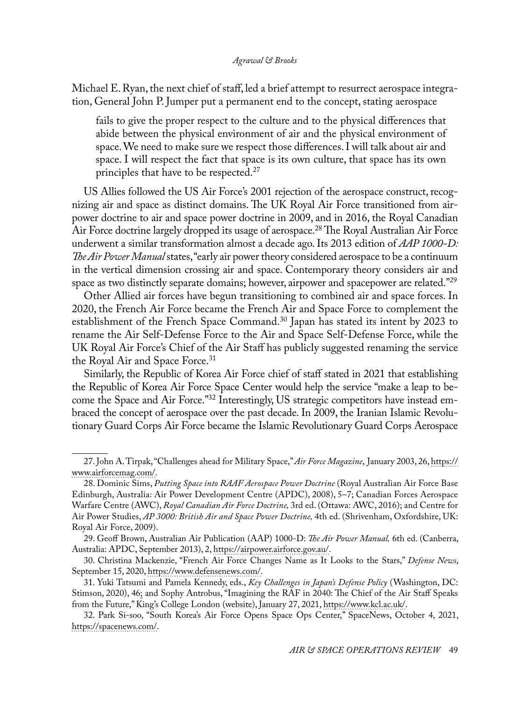Michael E. Ryan, the next chief of staff, led a brief attempt to resurrect aerospace integration, General John P. Jumper put a permanent end to the concept, stating aerospace

fails to give the proper respect to the culture and to the physical differences that abide between the physical environment of air and the physical environment of space. We need to make sure we respect those differences. I will talk about air and space. I will respect the fact that space is its own culture, that space has its own principles that have to be respected.<sup>27</sup>

US Allies followed the US Air Force's 2001 rejection of the aerospace construct, recognizing air and space as distinct domains. The UK Royal Air Force transitioned from airpower doctrine to air and space power doctrine in 2009, and in 2016, the Royal Canadian Air Force doctrine largely dropped its usage of aerospace.<sup>28</sup> The Royal Australian Air Force underwent a similar transformation almost a decade ago. Its 2013 edition of *AAP 1000-D: The Air Power Manual* states, "early air power theory considered aerospace to be a continuum in the vertical dimension crossing air and space. Contemporary theory considers air and space as two distinctly separate domains; however, airpower and spacepower are related."<sup>29</sup>

Other Allied air forces have begun transitioning to combined air and space forces. In 2020, the French Air Force became the French Air and Space Force to complement the establishment of the French Space Command.30 Japan has stated its intent by 2023 to rename the Air Self-Defense Force to the Air and Space Self-Defense Force, while the UK Royal Air Force's Chief of the Air Staff has publicly suggested renaming the service the Royal Air and Space Force.<sup>31</sup>

Similarly, the Republic of Korea Air Force chief of staff stated in 2021 that establishing the Republic of Korea Air Force Space Center would help the service "make a leap to become the Space and Air Force."<sup>32</sup> Interestingly, US strategic competitors have instead embraced the concept of aerospace over the past decade. In 2009, the Iranian Islamic Revolutionary Guard Corps Air Force became the Islamic Revolutionary Guard Corps Aerospace

<sup>27.</sup> John A. Tirpak, "Challenges ahead for Military Space," *Air Force Magazine*, January 2003, 26, [https://](https://www.airforcemag.com/PDF/MagazineArchive/Documents/2003/January%202003/0103space.pdf) [www.airforcemag.com/.](https://www.airforcemag.com/PDF/MagazineArchive/Documents/2003/January%202003/0103space.pdf)

<sup>28.</sup> Dominic Sims, *Putting Space into RAAF Aerospace Power Doctrine* (Royal Australian Air Force Base Edinburgh, Australia: Air Power Development Centre (APDC), 2008), 5–7; Canadian Forces Aerospace Warfare Centre (AWC), *Royal Canadian Air Force Doctrine,* 3rd ed. (Ottawa: AWC, 2016); and Centre for Air Power Studies, *AP 3000: British Air and Space Power Doctrine,* 4th ed. (Shrivenham, Oxfordshire, UK: Royal Air Force, 2009).

<sup>29.</sup> Geoff Brown, Australian Air Publication (AAP) 1000-D: *The Air Power Manual,* 6th ed. (Canberra, Australia: APDC, September 2013), 2, [https://airpower.airforce.gov.au/.](https://airpower.airforce.gov.au/sites/default/files/2021-03/AAP1000-D-The-Air-Power-Manual_0.pdf)

<sup>30.</sup> Christina Mackenzie, "French Air Force Changes Name as It Looks to the Stars," *Defense News*, September 15, 2020, [https://www.defensenews.com/](https://www.defensenews.com/global/europe/2020/09/15/french-air-force-changes-name-as-it-looks-to-the-stars/).

<sup>31.</sup> Yuki Tatsumi and Pamela Kennedy, eds., *Key Challenges in Japan's Defense Policy* (Washington, DC: Stimson, 2020), 46; and Sophy Antrobus, "Imagining the RAF in 2040: The Chief of the Air Staff Speaks from the Future," King's College London (website), January 27, 2021, [https://www.kcl.ac.uk/](https://www.kcl.ac.uk/imagining-the-raf-in-2040-the-chief-of-the-air-staff-speaks-from-the-future).

<sup>32.</sup> Park Si-soo, "South Korea's Air Force Opens Space Ops Center," SpaceNews, October 4, 2021, [https://spacenews.com/](https://spacenews.com/south-korean-air-force-opens-space-center/).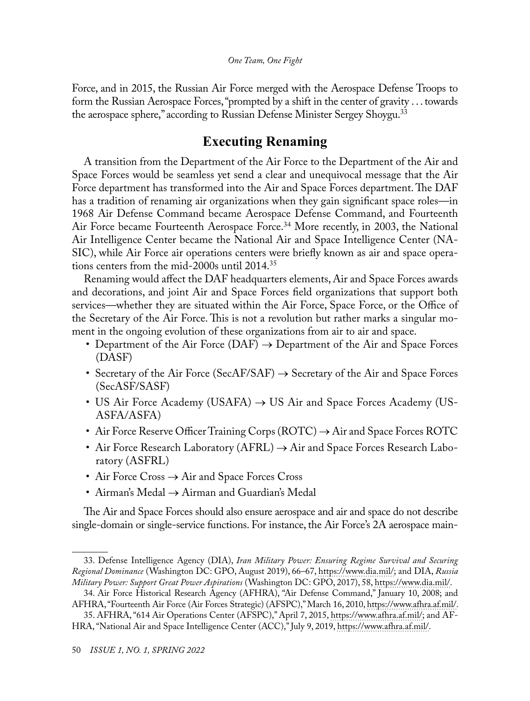Force, and in 2015, the Russian Air Force merged with the Aerospace Defense Troops to form the Russian Aerospace Forces, "prompted by a shift in the center of gravity . . . towards the aerospace sphere," according to Russian Defense Minister Sergey Shoygu.<sup>33</sup>

# **Executing Renaming**

A transition from the Department of the Air Force to the Department of the Air and Space Forces would be seamless yet send a clear and unequivocal message that the Air Force department has transformed into the Air and Space Forces department. The DAF has a tradition of renaming air organizations when they gain significant space roles—in 1968 Air Defense Command became Aerospace Defense Command, and Fourteenth Air Force became Fourteenth Aerospace Force.34 More recently, in 2003, the National Air Intelligence Center became the National Air and Space Intelligence Center (NA-SIC), while Air Force air operations centers were briefly known as air and space operations centers from the mid-2000s until 2014.35

Renaming would affect the DAF headquarters elements, Air and Space Forces awards and decorations, and joint Air and Space Forces field organizations that support both services—whether they are situated within the Air Force, Space Force, or the Office of the Secretary of the Air Force. This is not a revolution but rather marks a singular moment in the ongoing evolution of these organizations from air to air and space.

- Department of the Air Force (DAF)  $\rightarrow$  Department of the Air and Space Forces (DASF)
- Secretary of the Air Force (SecAF/SAF)  $\rightarrow$  Secretary of the Air and Space Forces (SecASF/SASF)
- US Air Force Academy (USAFA)  $\rightarrow$  US Air and Space Forces Academy (US-ASFA/ASFA)
- Air Force Reserve Officer Training Corps  $(ROTC) \rightarrow Air$  and Space Forces ROTC
- Air Force Research Laboratory  $(AFRL) \rightarrow Air$  and Space Forces Research Laboratory (ASFRL)
- Air Force Cross → Air and Space Forces Cross
- Airman's Medal → Airman and Guardian's Medal

The Air and Space Forces should also ensure aerospace and air and space do not describe single-domain or single-service functions. For instance, the Air Force's 2A aerospace main-

<sup>33.</sup> Defense Intelligence Agency (DIA), *Iran Military Power: Ensuring Regime Survival and Securing Regional Dominance* (Washington DC: GPO, August 2019), 66–67, [https://www.dia.mil/;](https://www.dia.mil/Portals/110/Images/News/Military_Powers_Publications/Iran_Military_Power_LR.pdf) and DIA, *Russia Military Power: Support Great Power Aspirations* (Washington DC: GPO, 2017), 58, [https://www.dia.mil/](https://www.dia.mil/Portals/110/Images/News/Military_Powers_Publications/Russia_Military_Power_Report_2017.pdf).

<sup>34.</sup> Air Force Historical Research Agency (AFHRA), "Air Defense Command," January 10, 2008; and AFHRA, "Fourteenth Air Force (Air Forces Strategic) (AFSPC)," March 16, 2010, [https://www.afhra.af.mil/](https://www.afhra.af.mil/About-Us/Fact-Sheets/Display/Article/432827/fourteenth-air-force-air-forces-strategic-afspc/).

<sup>35.</sup> AFHRA, "614 Air Operations Center (AFSPC)," April 7, 2015, [https://www.afhra.af.mil/](https://www.afhra.af.mil/About-Us/Fact-Sheets/Display/Article/862254/614-air-operations-center-afspc/); and AF-HRA, "National Air and Space Intelligence Center (ACC)," July 9, 2019, [https://www.afhra.af.mil/.](https://www.afhra.af.mil/About-Us/Fact-Sheets/Display/Article/432518/national-air-and-space-intelligence-center-acc/)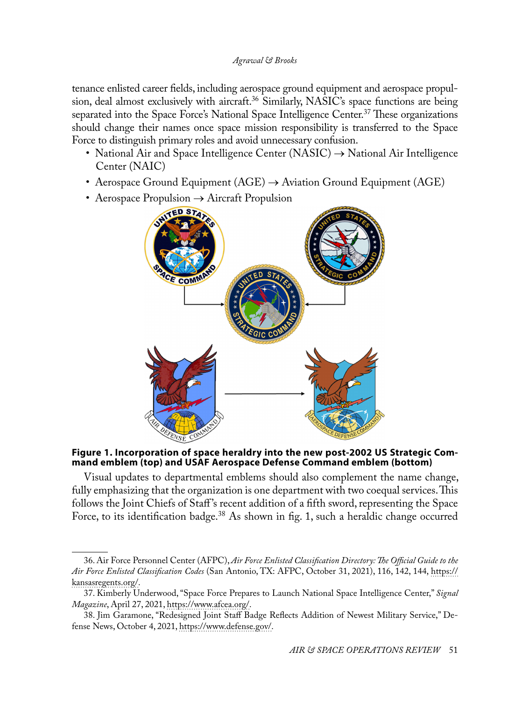tenance enlisted career fields, including aerospace ground equipment and aerospace propulsion, deal almost exclusively with aircraft.<sup>36</sup> Similarly, NASIC's space functions are being separated into the Space Force's National Space Intelligence Center.<sup>37</sup> These organizations should change their names once space mission responsibility is transferred to the Space Force to distinguish primary roles and avoid unnecessary confusion.

- National Air and Space Intelligence Center (NASIC)  $\rightarrow$  National Air Intelligence Center (NAIC)
- Aerospace Ground Equipment ( $AGE$ )  $\rightarrow$  Aviation Ground Equipment ( $AGE$ )
- Aerospace Propulsion  $\rightarrow$  Aircraft Propulsion



**Figure 1. Incorporation of space heraldry into the new post-2002 US Strategic Command emblem (top) and USAF Aerospace Defense Command emblem (bottom)**

Visual updates to departmental emblems should also complement the name change, fully emphasizing that the organization is one department with two coequal services. This follows the Joint Chiefs of Staff 's recent addition of a fifth sword, representing the Space Force, to its identification badge.<sup>38</sup> As shown in fig. 1, such a heraldic change occurred

<sup>36.</sup> Air Force Personnel Center (AFPC), *Air Force Enlisted Classification Directory: The Official Guide to the Air Force Enlisted Classification Codes* (San Antonio, TX: AFPC, October 31, 2021), 116, 142, 144, [https://](https://kansasregents.org/resources/PDF/Military_Alignment/AFECD_31_Oct_20v3_MAFB_Highlights.pdf) [kansasregents.org/.](https://kansasregents.org/resources/PDF/Military_Alignment/AFECD_31_Oct_20v3_MAFB_Highlights.pdf)

<sup>37.</sup> Kimberly Underwood, "Space Force Prepares to Launch National Space Intelligence Center," *Signal Magazine*, April 27, 2021, [https://www.afcea.org/.](https://www.afcea.org/content/space-force-prepares-launch-national-space-intelligence-center)

<sup>38.</sup> Jim Garamone, "Redesigned Joint Staff Badge Reflects Addition of Newest Military Service," Defense News, October 4, 2021, [https://www.defense.gov/.](https://www.defense.gov/News/News-Stories/Article/Article/2798771/redesigned-joint-staff-badge-reflects-addition-of-newest-military-service/)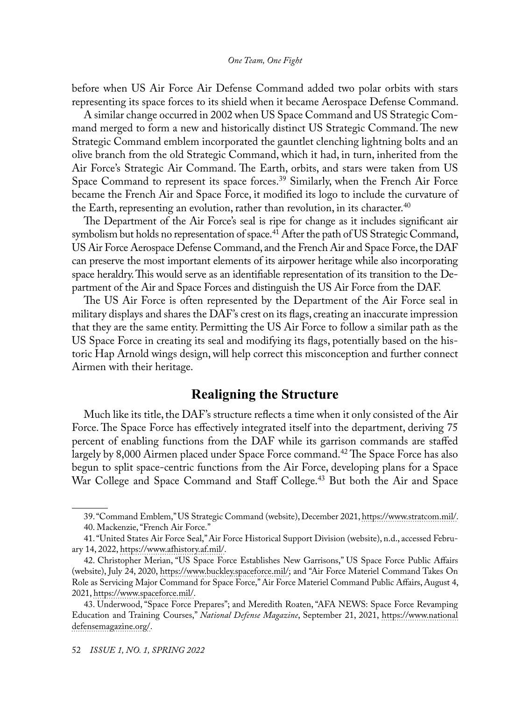before when US Air Force Air Defense Command added two polar orbits with stars representing its space forces to its shield when it became Aerospace Defense Command.

A similar change occurred in 2002 when US Space Command and US Strategic Command merged to form a new and historically distinct US Strategic Command. The new Strategic Command emblem incorporated the gauntlet clenching lightning bolts and an olive branch from the old Strategic Command, which it had, in turn, inherited from the Air Force's Strategic Air Command. The Earth, orbits, and stars were taken from US Space Command to represent its space forces.<sup>39</sup> Similarly, when the French Air Force became the French Air and Space Force, it modified its logo to include the curvature of the Earth, representing an evolution, rather than revolution, in its character.<sup>40</sup>

The Department of the Air Force's seal is ripe for change as it includes significant air symbolism but holds no representation of space.<sup>41</sup> After the path of US Strategic Command, US Air Force Aerospace Defense Command, and the French Air and Space Force, the DAF can preserve the most important elements of its airpower heritage while also incorporating space heraldry. This would serve as an identifiable representation of its transition to the Department of the Air and Space Forces and distinguish the US Air Force from the DAF.

The US Air Force is often represented by the Department of the Air Force seal in military displays and shares the DAF's crest on its flags, creating an inaccurate impression that they are the same entity. Permitting the US Air Force to follow a similar path as the US Space Force in creating its seal and modifying its flags, potentially based on the historic Hap Arnold wings design, will help correct this misconception and further connect Airmen with their heritage.

## **Realigning the Structure**

Much like its title, the DAF's structure reflects a time when it only consisted of the Air Force. The Space Force has effectively integrated itself into the department, deriving 75 percent of enabling functions from the DAF while its garrison commands are staffed largely by 8,000 Airmen placed under Space Force command.<sup>42</sup> The Space Force has also begun to split space-centric functions from the Air Force, developing plans for a Space War College and Space Command and Staff College.<sup>43</sup> But both the Air and Space

<sup>39. &</sup>quot;Command Emblem," US Strategic Command (website), December 2021, [https://www.stratcom.mil/](https://www.stratcom.mil/About/History/Command-Emblem/). 40. Mackenzie, "French Air Force."

<sup>41. &</sup>quot;United States Air Force Seal," Air Force Historical Support Division (website), n.d., accessed February 14, 2022, [https://www.afhistory.af.mil/.](https://www.afhistory.af.mil/FAQs/Fact-Sheets/Article/459019/united-states-air-force-seal/)

<sup>42.</sup> Christopher Merian, "US Space Force Establishes New Garrisons," US Space Force Public Affairs (website), July 24, 2020, [https://www.buckley.spaceforce.mil/](https://www.buckley.spaceforce.mil/News/Article-Display/Article/2287167/us-space-force-establishes-new-garrisons/); and "Air Force Materiel Command Takes On Role as Servicing Major Command for Space Force," Air Force Materiel Command Public Affairs, August 4, 2021, [https://www.spaceforce.mil/.](https://www.spaceforce.mil/News/Article/2718932/air-force-materiel-command-takes-on-role-as-servicing-major-command-for-space-f/)

<sup>43.</sup> Underwood, "Space Force Prepares"; and Meredith Roaten, "AFA NEWS: Space Force Revamping Education and Training Courses," *National Defense Magazine*, September 21, 2021, [https://www.national](https://www.nationaldefensemagazine.org/articles/2021/9/21/space-force-revamping-education-and-training-courses) [defensemagazine.org/.](https://www.nationaldefensemagazine.org/articles/2021/9/21/space-force-revamping-education-and-training-courses)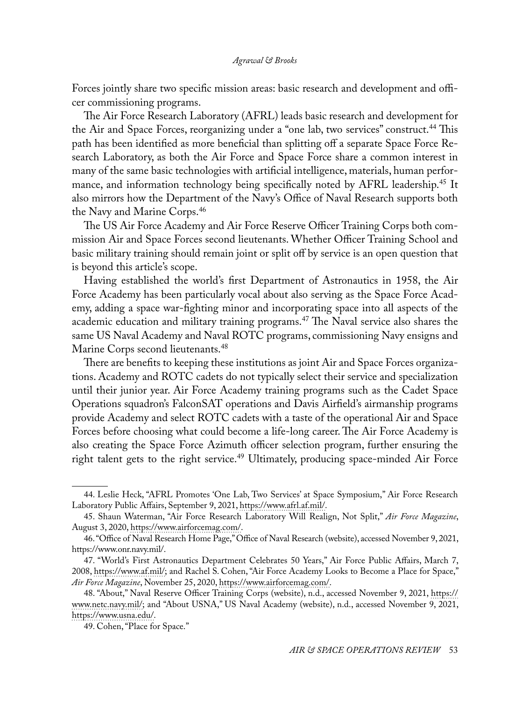Forces jointly share two specific mission areas: basic research and development and officer commissioning programs.

The Air Force Research Laboratory (AFRL) leads basic research and development for the Air and Space Forces, reorganizing under a "one lab, two services" construct.44 This path has been identified as more beneficial than splitting off a separate Space Force Research Laboratory, as both the Air Force and Space Force share a common interest in many of the same basic technologies with artificial intelligence, materials, human performance, and information technology being specifically noted by AFRL leadership.<sup>45</sup> It also mirrors how the Department of the Navy's Office of Naval Research supports both the Navy and Marine Corps.46

The US Air Force Academy and Air Force Reserve Officer Training Corps both commission Air and Space Forces second lieutenants. Whether Officer Training School and basic military training should remain joint or split off by service is an open question that is beyond this article's scope.

Having established the world's first Department of Astronautics in 1958, the Air Force Academy has been particularly vocal about also serving as the Space Force Academy, adding a space war-fighting minor and incorporating space into all aspects of the academic education and military training programs.47 The Naval service also shares the same US Naval Academy and Naval ROTC programs, commissioning Navy ensigns and Marine Corps second lieutenants.<sup>48</sup>

There are benefits to keeping these institutions as joint Air and Space Forces organizations. Academy and ROTC cadets do not typically select their service and specialization until their junior year. Air Force Academy training programs such as the Cadet Space Operations squadron's FalconSAT operations and Davis Airfield's airmanship programs provide Academy and select ROTC cadets with a taste of the operational Air and Space Forces before choosing what could become a life-long career. The Air Force Academy is also creating the Space Force Azimuth officer selection program, further ensuring the right talent gets to the right service.<sup>49</sup> Ultimately, producing space-minded Air Force

<sup>44.</sup> Leslie Heck, "AFRL Promotes 'One Lab, Two Services' at Space Symposium," Air Force Research Laboratory Public Affairs, September 9, 2021, [https://www.afrl.af.mil/.](https://www.afrl.af.mil/News/Article/2768471/afrl-promotes-one-lab-two-services-at-space-symposium/)

<sup>45.</sup> Shaun Waterman, "Air Force Research Laboratory Will Realign, Not Split," *Air Force Magazine*, August 3, 2020, [https://www.airforcemag.com/](https://www.airforcemag.com/air-force-research-laboratory-will-realign-not-split/).

<sup>46. &</sup>quot;Office of Naval Research Home Page," Office of Naval Research (website), accessed November 9, 2021, https://www.onr.navy.mil/.

<sup>47. &</sup>quot;World's First Astronautics Department Celebrates 50 Years," Air Force Public Affairs, March 7, 2008, [https://www.af.mil/](https://www.af.mil/News/Article-Display/Article/124174/worlds-first-astronautics-department-celebrates-50-years/); and Rachel S. Cohen, "Air Force Academy Looks to Become a Place for Space," *Air Force Magazine*, November 25, 2020, [https://www.airforcemag.com/](https://www.airforcemag.com/air-force-academy-looks-to-become-a-place-for-space/).

<sup>48. &</sup>quot;About," Naval Reserve Officer Training Corps (website), n.d., accessed November 9, 2021, [https://](https://www.netc.navy.mil/Commands/Naval-Service-Training-Command/NROTC/About/) [www.netc.navy.mil/;](https://www.netc.navy.mil/Commands/Naval-Service-Training-Command/NROTC/About/) and "About USNA," US Naval Academy (website), n.d., accessed November 9, 2021, [https://www.usna.edu/](https://www.usna.edu/About/index.php).

<sup>49.</sup> Cohen, "Place for Space."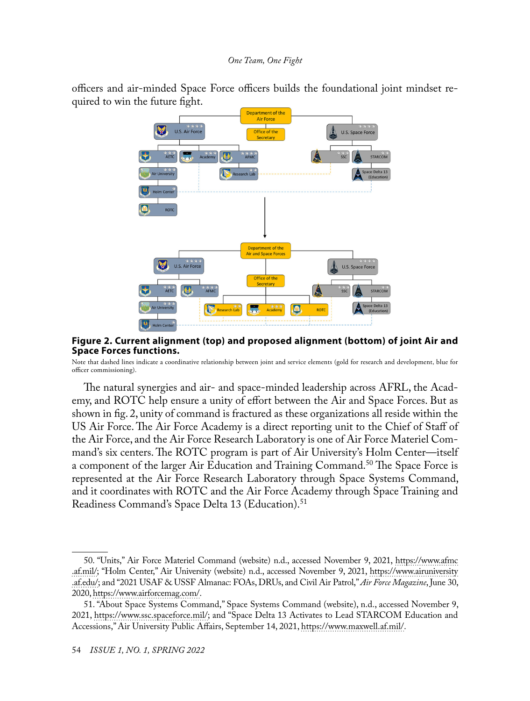officers and air-minded Space Force officers builds the foundational joint mindset required to win the future fight.



#### **Figure 2. Current alignment (top) and proposed alignment (bottom) of joint Air and Space Forces functions.**

Note that dashed lines indicate a coordinative relationship between joint and service elements (gold for research and development, blue for officer commissioning).

The natural synergies and air- and space-minded leadership across AFRL, the Academy, and ROTC help ensure a unity of effort between the Air and Space Forces. But as shown in fig. 2, unity of command is fractured as these organizations all reside within the US Air Force. The Air Force Academy is a direct reporting unit to the Chief of Staff of the Air Force, and the Air Force Research Laboratory is one of Air Force Materiel Command's six centers. The ROTC program is part of Air University's Holm Center—itself a component of the larger Air Education and Training Command.<sup>50</sup> The Space Force is represented at the Air Force Research Laboratory through Space Systems Command, and it coordinates with ROTC and the Air Force Academy through Space Training and Readiness Command's Space Delta 13 (Education).<sup>51</sup>

<sup>50. &</sup>quot;Units," Air Force Materiel Command (website) n.d., accessed November 9, 2021, [https://www.afmc](https://www.afmc.af.mil/units/) [.af.mil/](https://www.afmc.af.mil/units/); "Holm Center," Air University (website) n.d., accessed November 9, 2021, [https://www.airuniversity](https://www.airuniversity.af.edu/Holm-Center/) [.af.edu/](https://www.airuniversity.af.edu/Holm-Center/); and "2021 USAF & USSF Almanac: FOAs, DRUs, and Civil Air Patrol," *Air Force Magazine*, June 30, 2020, [https://www.airforcemag.com/.](https://www.airforcemag.com/article/2021-usaf-ussf-almanac-foas-drus-and-civil-air-patrol/)

<sup>51. &</sup>quot;About Space Systems Command," Space Systems Command (website), n.d., accessed November 9, 2021, [https://www.ssc.spaceforce.mil/](https://www.ssc.spaceforce.mil/About-Us/About-Space-Systems-Command); and "Space Delta 13 Activates to Lead STARCOM Education and Accessions," Air University Public Affairs, September 14, 2021, [https://www.maxwell.af.mil/.](https://www.maxwell.af.mil/News/Display/Article/2774322/space-delta-13-activates-to-lead-starcom-education-and-accessions/)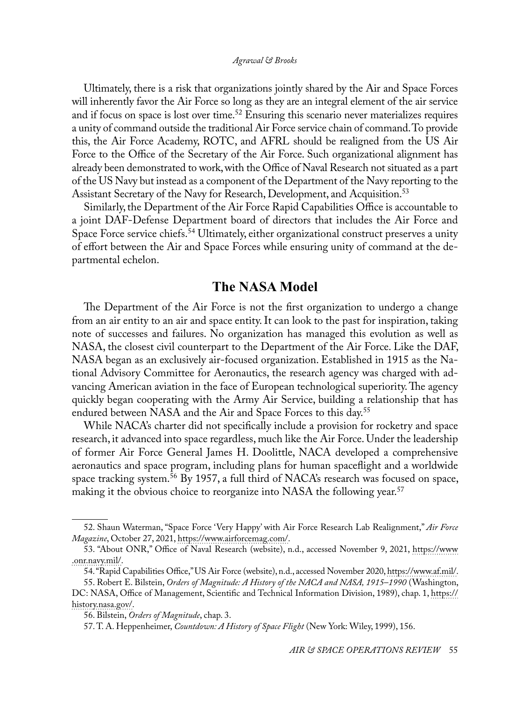Ultimately, there is a risk that organizations jointly shared by the Air and Space Forces will inherently favor the Air Force so long as they are an integral element of the air service and if focus on space is lost over time.<sup>52</sup> Ensuring this scenario never materializes requires a unity of command outside the traditional Air Force service chain of command. To provide this, the Air Force Academy, ROTC, and AFRL should be realigned from the US Air Force to the Office of the Secretary of the Air Force. Such organizational alignment has already been demonstrated to work, with the Office of Naval Research not situated as a part of the US Navy but instead as a component of the Department of the Navy reporting to the Assistant Secretary of the Navy for Research, Development, and Acquisition.<sup>53</sup>

Similarly, the Department of the Air Force Rapid Capabilities Office is accountable to a joint DAF-Defense Department board of directors that includes the Air Force and Space Force service chiefs.<sup>54</sup> Ultimately, either organizational construct preserves a unity of effort between the Air and Space Forces while ensuring unity of command at the departmental echelon.

# **The NASA Model**

The Department of the Air Force is not the first organization to undergo a change from an air entity to an air and space entity. It can look to the past for inspiration, taking note of successes and failures. No organization has managed this evolution as well as NASA, the closest civil counterpart to the Department of the Air Force. Like the DAF, NASA began as an exclusively air-focused organization. Established in 1915 as the National Advisory Committee for Aeronautics, the research agency was charged with advancing American aviation in the face of European technological superiority. The agency quickly began cooperating with the Army Air Service, building a relationship that has endured between NASA and the Air and Space Forces to this day.<sup>55</sup>

While NACA's charter did not specifically include a provision for rocketry and space research, it advanced into space regardless, much like the Air Force. Under the leadership of former Air Force General James H. Doolittle, NACA developed a comprehensive aeronautics and space program, including plans for human spaceflight and a worldwide space tracking system.<sup>56</sup> By 1957, a full third of NACA's research was focused on space, making it the obvious choice to reorganize into NASA the following year.<sup>57</sup>

<sup>52.</sup> Shaun Waterman, "Space Force 'Very Happy' with Air Force Research Lab Realignment," *Air Force Magazine*, October 27, 2021, [https://www.airforcemag.com/.](https://www.airforcemag.com/space-force-very-happy-with-air-force-research-lab-realignment/)

<sup>53. &</sup>quot;About ONR," Office of Naval Research (website), n.d., accessed November 9, 2021, [https://www](https://www.onr.navy.mil/en/About-ONR) [.onr.navy.mil/](https://www.onr.navy.mil/en/About-ONR).

<sup>54. &</sup>quot;Rapid Capabilities Office," US Air Force (website), n.d., accessed November 2020, [https://www.af.mil/](https://www.af.mil/About-Us/Fact-Sheets/Display/Article/2424302/rapid-capabilities-office/).

<sup>55.</sup> Robert E. Bilstein, *Orders of Magnitude: A History of the NACA and NASA, 1915*–*1990* (Washington,

DC: NASA, Office of Management, Scientific and Technical Information Division, 1989), chap. 1, [https://](https://history.nasa.gov/SP-4406/chap1.html) [history.nasa.gov/](https://history.nasa.gov/SP-4406/chap1.html).

<sup>56.</sup> Bilstein, *Orders of Magnitude*, chap. 3.

<sup>57.</sup> T. A. Heppenheimer, *Countdown: A History of Space Flight* (New York: Wiley, 1999), 156.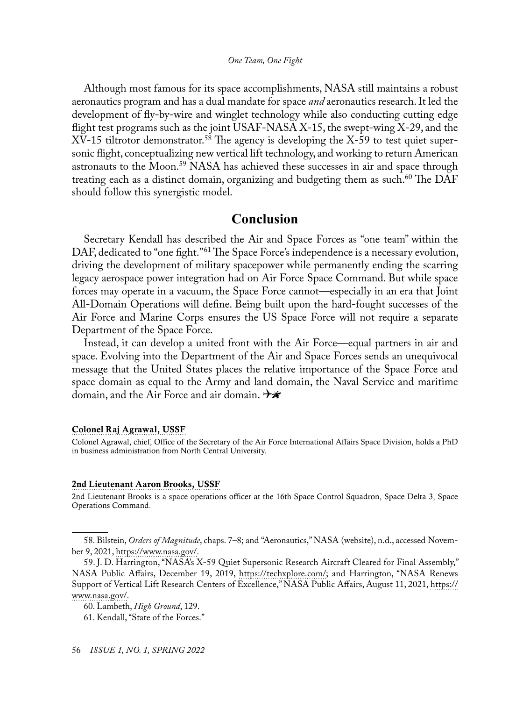<span id="page-12-0"></span>Although most famous for its space accomplishments, NASA still maintains a robust aeronautics program and has a dual mandate for space *and* aeronautics research. It led the development of fly-by-wire and winglet technology while also conducting cutting edge flight test programs such as the joint USAF-NASA X-15, the swept-wing X-29, and the  $XV-15$  tiltrotor demonstrator.<sup>58</sup> The agency is developing the  $X-59$  to test quiet supersonic flight, conceptualizing new vertical lift technology, and working to return American astronauts to the Moon.<sup>59</sup> NASA has achieved these successes in air and space through treating each as a distinct domain, organizing and budgeting them as such.<sup>60</sup> The DAF should follow this synergistic model.

### **Conclusion**

Secretary Kendall has described the Air and Space Forces as "one team" within the DAF, dedicated to "one fight."<sup>61</sup> The Space Force's independence is a necessary evolution, driving the development of military spacepower while permanently ending the scarring legacy aerospace power integration had on Air Force Space Command. But while space forces may operate in a vacuum, the Space Force cannot—especially in an era that Joint All-Domain Operations will define. Being built upon the hard-fought successes of the Air Force and Marine Corps ensures the US Space Force will not require a separate Department of the Space Force.

Instead, it can develop a united front with the Air Force—equal partners in air and space. Evolving into the Department of the Air and Space Forces sends an unequivocal message that the United States places the relative importance of the Space Force and space domain as equal to the Army and land domain, the Naval Service and maritime domain, and the Air Force and air domain.  $\rightarrow \hspace{-.08in} \mathcal{H}$ 

#### [Colonel Raj Agrawal, USSF](#page-0-0)

Colonel Agrawal, chief, Office of the Secretary of the Air Force International Affairs Space Division, holds a PhD in business administration from North Central University.

#### [2nd Lieutenant Aaron Brooks, USSF](#page-0-1)

2nd Lieutenant Brooks is a space operations officer at the 16th Space Control Squadron, Space Delta 3, Space Operations Command.

<sup>58.</sup> Bilstein, *Orders of Magnitude*, chaps. 7–8; and "Aeronautics," NASA (website), n.d., accessed November 9, 2021, [https://www.nasa.gov/](https://www.nasa.gov/specials/60counting/aero.html).

<sup>59.</sup> J. D. Harrington, "NASA's X-59 Quiet Supersonic Research Aircraft Cleared for Final Assembly," NASA Public Affairs, December 19, 2019, [https://techxplore.com/;](https://techxplore.com/news/2019-12-nasa-x-quiet-supersonic-aircraft.html) and Harrington, "NASA Renews Support of Vertical Lift Research Centers of Excellence," NASA Public Affairs, August 11, 2021, [https://](https://www.nasa.gov/press-release/nasa-renews-support-of-vertical-lift-research-centers-of-excellence) [www.nasa.gov/](https://www.nasa.gov/press-release/nasa-renews-support-of-vertical-lift-research-centers-of-excellence).

<sup>60.</sup> Lambeth, *High Ground*, 129.

<sup>61.</sup> Kendall, "State of the Forces."